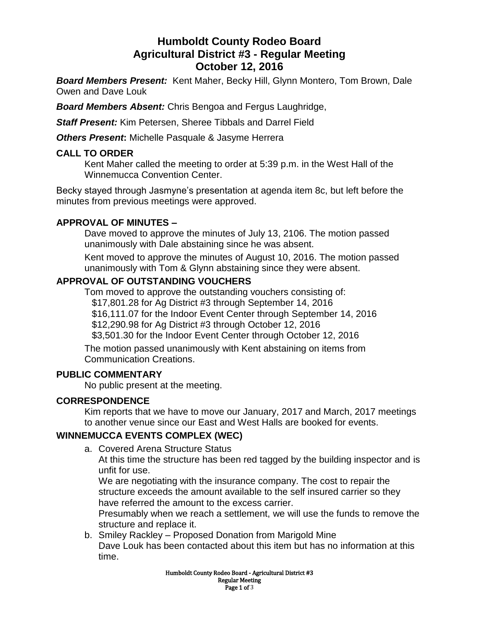# **Humboldt County Rodeo Board Agricultural District #3 - Regular Meeting October 12, 2016**

*Board Members Present:* Kent Maher, Becky Hill, Glynn Montero, Tom Brown, Dale Owen and Dave Louk

*Board Members Absent:* Chris Bengoa and Fergus Laughridge,

*Staff Present:* Kim Petersen, Sheree Tibbals and Darrel Field

*Others Present***:** Michelle Pasquale & Jasyme Herrera

#### **CALL TO ORDER**

Kent Maher called the meeting to order at 5:39 p.m. in the West Hall of the Winnemucca Convention Center.

Becky stayed through Jasmyne's presentation at agenda item 8c, but left before the minutes from previous meetings were approved.

#### **APPROVAL OF MINUTES –**

Dave moved to approve the minutes of July 13, 2106. The motion passed unanimously with Dale abstaining since he was absent.

Kent moved to approve the minutes of August 10, 2016. The motion passed unanimously with Tom & Glynn abstaining since they were absent.

#### **APPROVAL OF OUTSTANDING VOUCHERS**

Tom moved to approve the outstanding vouchers consisting of: \$17,801.28 for Ag District #3 through September 14, 2016 \$16,111.07 for the Indoor Event Center through September 14, 2016 \$12,290.98 for Ag District #3 through October 12, 2016 \$3,501.30 for the Indoor Event Center through October 12, 2016

The motion passed unanimously with Kent abstaining on items from Communication Creations.

# **PUBLIC COMMENTARY**

No public present at the meeting.

# **CORRESPONDENCE**

Kim reports that we have to move our January, 2017 and March, 2017 meetings to another venue since our East and West Halls are booked for events.

# **WINNEMUCCA EVENTS COMPLEX (WEC)**

a. Covered Arena Structure Status

At this time the structure has been red tagged by the building inspector and is unfit for use.

We are negotiating with the insurance company. The cost to repair the structure exceeds the amount available to the self insured carrier so they have referred the amount to the excess carrier.

Presumably when we reach a settlement, we will use the funds to remove the structure and replace it.

b. Smiley Rackley – Proposed Donation from Marigold Mine Dave Louk has been contacted about this item but has no information at this time.

> Humboldt County Rodeo Board - Agricultural District #3 Regular Meeting Page 1 of 3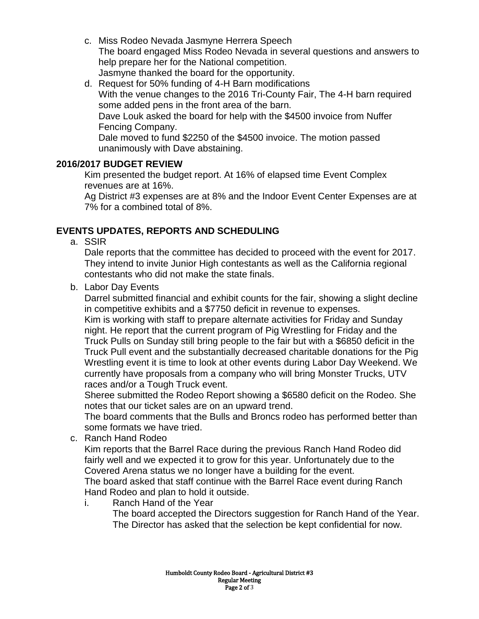- c. Miss Rodeo Nevada Jasmyne Herrera Speech The board engaged Miss Rodeo Nevada in several questions and answers to help prepare her for the National competition. Jasmyne thanked the board for the opportunity.
- d. Request for 50% funding of 4-H Barn modifications With the venue changes to the 2016 Tri-County Fair, The 4-H barn required some added pens in the front area of the barn. Dave Louk asked the board for help with the \$4500 invoice from Nuffer Fencing Company.

Dale moved to fund \$2250 of the \$4500 invoice. The motion passed unanimously with Dave abstaining.

# **2016/2017 BUDGET REVIEW**

Kim presented the budget report. At 16% of elapsed time Event Complex revenues are at 16%.

Ag District #3 expenses are at 8% and the Indoor Event Center Expenses are at 7% for a combined total of 8%.

# **EVENTS UPDATES, REPORTS AND SCHEDULING**

a. SSIR

Dale reports that the committee has decided to proceed with the event for 2017. They intend to invite Junior High contestants as well as the California regional contestants who did not make the state finals.

b. Labor Day Events

Darrel submitted financial and exhibit counts for the fair, showing a slight decline in competitive exhibits and a \$7750 deficit in revenue to expenses.

Kim is working with staff to prepare alternate activities for Friday and Sunday night. He report that the current program of Pig Wrestling for Friday and the Truck Pulls on Sunday still bring people to the fair but with a \$6850 deficit in the Truck Pull event and the substantially decreased charitable donations for the Pig Wrestling event it is time to look at other events during Labor Day Weekend. We currently have proposals from a company who will bring Monster Trucks, UTV races and/or a Tough Truck event.

Sheree submitted the Rodeo Report showing a \$6580 deficit on the Rodeo. She notes that our ticket sales are on an upward trend.

The board comments that the Bulls and Broncs rodeo has performed better than some formats we have tried.

c. Ranch Hand Rodeo

Kim reports that the Barrel Race during the previous Ranch Hand Rodeo did fairly well and we expected it to grow for this year. Unfortunately due to the Covered Arena status we no longer have a building for the event.

The board asked that staff continue with the Barrel Race event during Ranch Hand Rodeo and plan to hold it outside.

i. Ranch Hand of the Year The board accepted the Directors suggestion for Ranch Hand of the Year. The Director has asked that the selection be kept confidential for now.